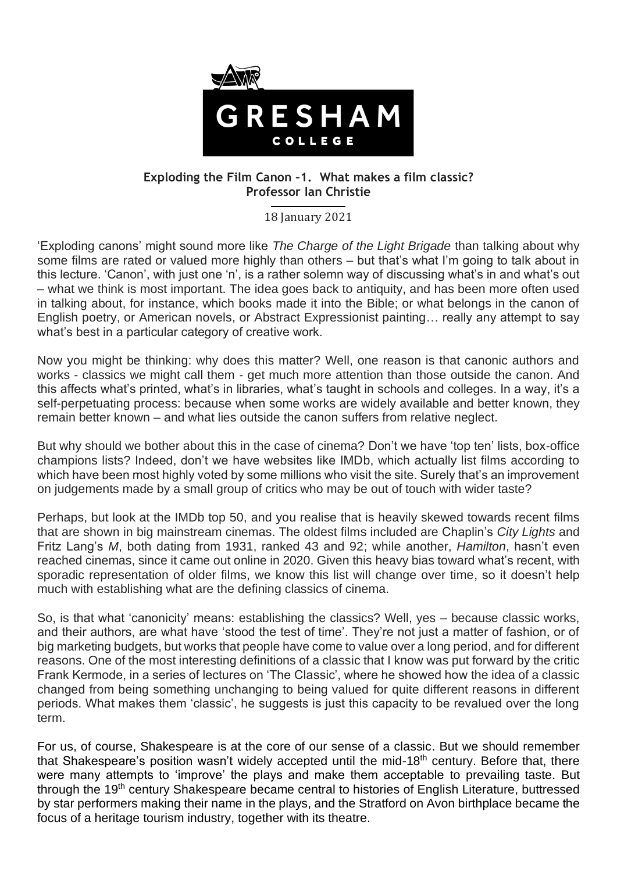

## **Exploding the Film Canon –1. What makes a film classic? Professor Ian Christie**

18 January 2021

'Exploding canons' might sound more like *The Charge of the Light Brigade* than talking about why some films are rated or valued more highly than others – but that's what I'm going to talk about in this lecture. 'Canon', with just one 'n', is a rather solemn way of discussing what's in and what's out – what we think is most important. The idea goes back to antiquity, and has been more often used in talking about, for instance, which books made it into the Bible; or what belongs in the canon of English poetry, or American novels, or Abstract Expressionist painting… really any attempt to say what's best in a particular category of creative work.

Now you might be thinking: why does this matter? Well, one reason is that canonic authors and works - classics we might call them - get much more attention than those outside the canon. And this affects what's printed, what's in libraries, what's taught in schools and colleges. In a way, it's a self-perpetuating process: because when some works are widely available and better known, they remain better known – and what lies outside the canon suffers from relative neglect.

But why should we bother about this in the case of cinema? Don't we have 'top ten' lists, box-office champions lists? Indeed, don't we have websites like IMDb, which actually list films according to which have been most highly voted by some millions who visit the site. Surely that's an improvement on judgements made by a small group of critics who may be out of touch with wider taste?

Perhaps, but look at the IMDb top 50, and you realise that is heavily skewed towards recent films that are shown in big mainstream cinemas. The oldest films included are Chaplin's *City Lights* and Fritz Lang's *M*, both dating from 1931, ranked 43 and 92; while another, *Hamilton*, hasn't even reached cinemas, since it came out online in 2020. Given this heavy bias toward what's recent, with sporadic representation of older films, we know this list will change over time, so it doesn't help much with establishing what are the defining classics of cinema.

So, is that what 'canonicity' means: establishing the classics? Well, yes – because classic works, and their authors, are what have 'stood the test of time'. They're not just a matter of fashion, or of big marketing budgets, but works that people have come to value over a long period, and for different reasons. One of the most interesting definitions of a classic that I know was put forward by the critic Frank Kermode, in a series of lectures on 'The Classic', where he showed how the idea of a classic changed from being something unchanging to being valued for quite different reasons in different periods. What makes them 'classic', he suggests is just this capacity to be revalued over the long term.

For us, of course, Shakespeare is at the core of our sense of a classic. But we should remember that Shakespeare's position wasn't widely accepted until the mid-18<sup>th</sup> century. Before that, there were many attempts to 'improve' the plays and make them acceptable to prevailing taste. But through the 19<sup>th</sup> century Shakespeare became central to histories of English Literature, buttressed by star performers making their name in the plays, and the Stratford on Avon birthplace became the focus of a heritage tourism industry, together with its theatre.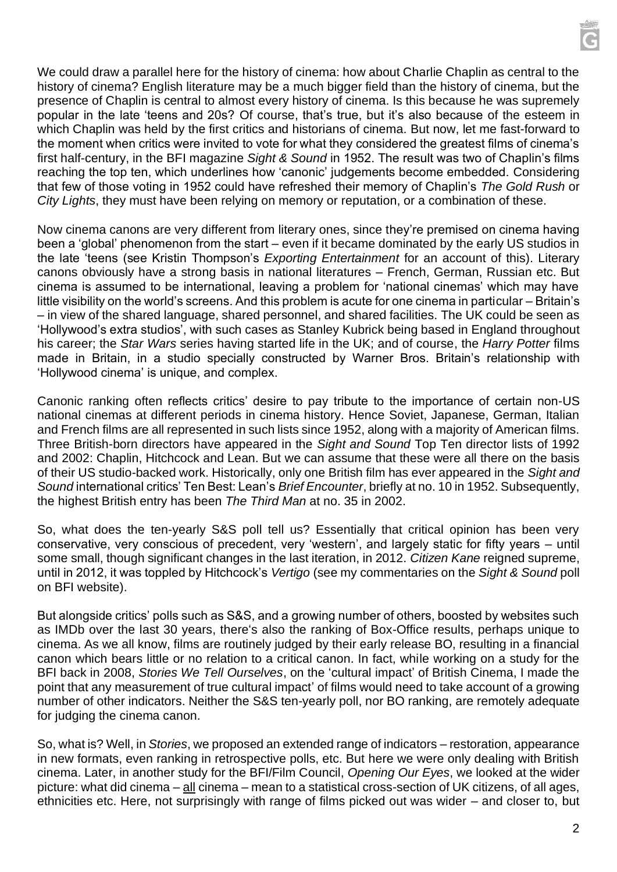We could draw a parallel here for the history of cinema: how about Charlie Chaplin as central to the history of cinema? English literature may be a much bigger field than the history of cinema, but the presence of Chaplin is central to almost every history of cinema. Is this because he was supremely popular in the late 'teens and 20s? Of course, that's true, but it's also because of the esteem in which Chaplin was held by the first critics and historians of cinema. But now, let me fast-forward to the moment when critics were invited to vote for what they considered the greatest films of cinema's first half-century, in the BFI magazine *Sight & Sound* in 1952. The result was two of Chaplin's films reaching the top ten, which underlines how 'canonic' judgements become embedded. Considering that few of those voting in 1952 could have refreshed their memory of Chaplin's *The Gold Rush* or *City Lights*, they must have been relying on memory or reputation, or a combination of these.

Now cinema canons are very different from literary ones, since they're premised on cinema having been a 'global' phenomenon from the start – even if it became dominated by the early US studios in the late 'teens (see Kristin Thompson's *Exporting Entertainment* for an account of this). Literary canons obviously have a strong basis in national literatures – French, German, Russian etc. But cinema is assumed to be international, leaving a problem for 'national cinemas' which may have little visibility on the world's screens. And this problem is acute for one cinema in particular – Britain's – in view of the shared language, shared personnel, and shared facilities. The UK could be seen as 'Hollywood's extra studios', with such cases as Stanley Kubrick being based in England throughout his career; the *Star Wars* series having started life in the UK; and of course, the *Harry Potter* films made in Britain, in a studio specially constructed by Warner Bros. Britain's relationship with 'Hollywood cinema' is unique, and complex.

Canonic ranking often reflects critics' desire to pay tribute to the importance of certain non-US national cinemas at different periods in cinema history. Hence Soviet, Japanese, German, Italian and French films are all represented in such lists since 1952, along with a majority of American films. Three British-born directors have appeared in the *Sight and Sound* Top Ten director lists of 1992 and 2002: Chaplin, Hitchcock and Lean. But we can assume that these were all there on the basis of their US studio-backed work. Historically, only one British film has ever appeared in the *Sight and Sound* international critics' Ten Best: Lean's *Brief Encounter*, briefly at no. 10 in 1952. Subsequently, the highest British entry has been *The Third Man* at no. 35 in 2002.

So, what does the ten-yearly S&S poll tell us? Essentially that critical opinion has been very conservative, very conscious of precedent, very 'western', and largely static for fifty years – until some small, though significant changes in the last iteration, in 2012. *Citizen Kane* reigned supreme, until in 2012, it was toppled by Hitchcock's *Vertigo* (see my commentaries on the *Sight & Sound* poll on BFI website).

But alongside critics' polls such as S&S, and a growing number of others, boosted by websites such as IMDb over the last 30 years, there's also the ranking of Box-Office results, perhaps unique to cinema. As we all know, films are routinely judged by their early release BO, resulting in a financial canon which bears little or no relation to a critical canon. In fact, while working on a study for the BFI back in 2008, *Stories We Tell Ourselves*, on the 'cultural impact' of British Cinema, I made the point that any measurement of true cultural impact' of films would need to take account of a growing number of other indicators. Neither the S&S ten-yearly poll, nor BO ranking, are remotely adequate for judging the cinema canon.

So, what is? Well, in *Stories*, we proposed an extended range of indicators – restoration, appearance in new formats, even ranking in retrospective polls, etc. But here we were only dealing with British cinema. Later, in another study for the BFI/Film Council, *Opening Our Eyes*, we looked at the wider picture: what did cinema – all cinema – mean to a statistical cross-section of UK citizens, of all ages, ethnicities etc. Here, not surprisingly with range of films picked out was wider – and closer to, but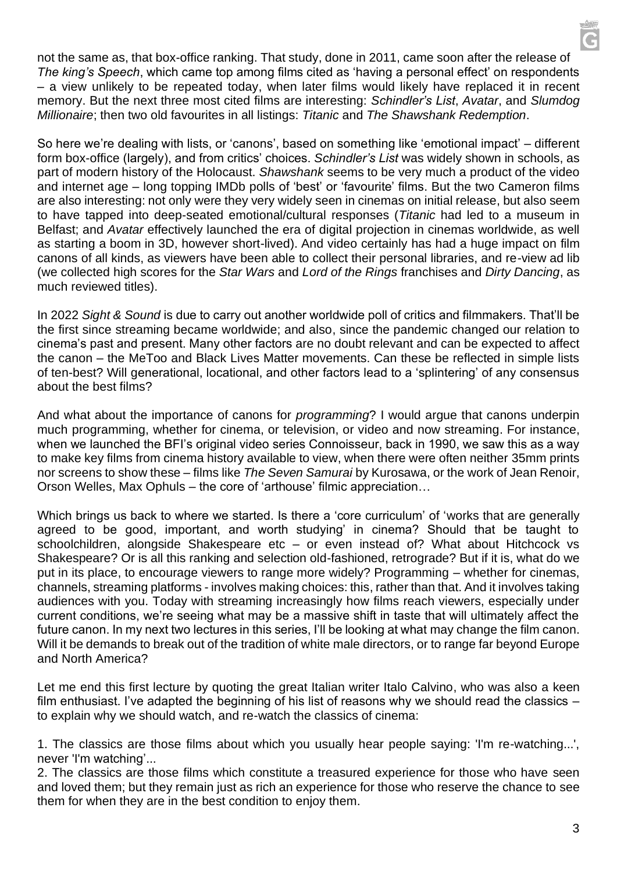not the same as, that box-office ranking. That study, done in 2011, came soon after the release of *The king's Speech*, which came top among films cited as 'having a personal effect' on respondents – a view unlikely to be repeated today, when later films would likely have replaced it in recent memory. But the next three most cited films are interesting: *Schindler's List*, *Avatar*, and *Slumdog Millionaire*; then two old favourites in all listings: *Titanic* and *The Shawshank Redemption*.

So here we're dealing with lists, or 'canons', based on something like 'emotional impact' – different form box-office (largely), and from critics' choices. *Schindler's List* was widely shown in schools, as part of modern history of the Holocaust. *Shawshank* seems to be very much a product of the video and internet age – long topping IMDb polls of 'best' or 'favourite' films. But the two Cameron films are also interesting: not only were they very widely seen in cinemas on initial release, but also seem to have tapped into deep-seated emotional/cultural responses (*Titanic* had led to a museum in Belfast; and *Avatar* effectively launched the era of digital projection in cinemas worldwide, as well as starting a boom in 3D, however short-lived). And video certainly has had a huge impact on film canons of all kinds, as viewers have been able to collect their personal libraries, and re-view ad lib (we collected high scores for the *Star Wars* and *Lord of the Rings* franchises and *Dirty Dancing*, as much reviewed titles).

In 2022 *Sight & Sound* is due to carry out another worldwide poll of critics and filmmakers. That'll be the first since streaming became worldwide; and also, since the pandemic changed our relation to cinema's past and present. Many other factors are no doubt relevant and can be expected to affect the canon – the MeToo and Black Lives Matter movements. Can these be reflected in simple lists of ten-best? Will generational, locational, and other factors lead to a 'splintering' of any consensus about the best films?

And what about the importance of canons for *programming*? I would argue that canons underpin much programming, whether for cinema, or television, or video and now streaming. For instance, when we launched the BFI's original video series Connoisseur, back in 1990, we saw this as a way to make key films from cinema history available to view, when there were often neither 35mm prints nor screens to show these – films like *The Seven Samurai* by Kurosawa, or the work of Jean Renoir, Orson Welles, Max Ophuls – the core of 'arthouse' filmic appreciation…

Which brings us back to where we started. Is there a 'core curriculum' of 'works that are generally agreed to be good, important, and worth studying' in cinema? Should that be taught to schoolchildren, alongside Shakespeare etc – or even instead of? What about Hitchcock vs Shakespeare? Or is all this ranking and selection old-fashioned, retrograde? But if it is, what do we put in its place, to encourage viewers to range more widely? Programming – whether for cinemas, channels, streaming platforms - involves making choices: this, rather than that. And it involves taking audiences with you. Today with streaming increasingly how films reach viewers, especially under current conditions, we're seeing what may be a massive shift in taste that will ultimately affect the future canon. In my next two lectures in this series, I'll be looking at what may change the film canon. Will it be demands to break out of the tradition of white male directors, or to range far beyond Europe and North America?

Let me end this first lecture by quoting the great Italian writer Italo Calvino, who was also a keen film enthusiast. I've adapted the beginning of his list of reasons why we should read the classics – to explain why we should watch, and re-watch the classics of cinema:

1. The classics are those films about which you usually hear people saying: 'I'm re-watching...', never 'I'm watching'...

2. The classics are those films which constitute a treasured experience for those who have seen and loved them; but they remain just as rich an experience for those who reserve the chance to see them for when they are in the best condition to enjoy them.